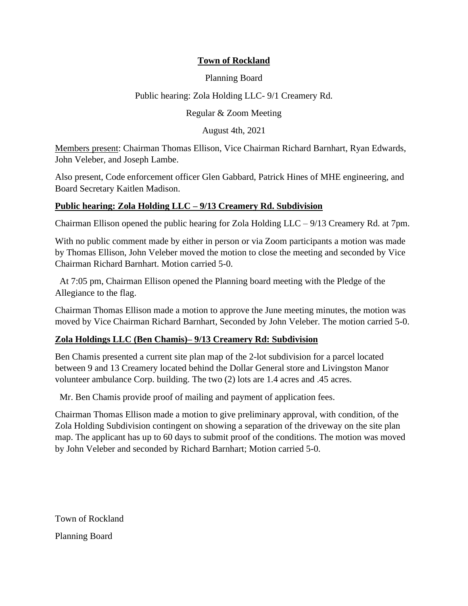## **Town of Rockland**

### Planning Board

### Public hearing: Zola Holding LLC- 9/1 Creamery Rd.

### Regular & Zoom Meeting

August 4th, 2021

Members present: Chairman Thomas Ellison, Vice Chairman Richard Barnhart, Ryan Edwards, John Veleber, and Joseph Lambe.

Also present, Code enforcement officer Glen Gabbard, Patrick Hines of MHE engineering, and Board Secretary Kaitlen Madison.

#### **Public hearing: Zola Holding LLC – 9/13 Creamery Rd. Subdivision**

Chairman Ellison opened the public hearing for Zola Holding LLC – 9/13 Creamery Rd. at 7pm.

With no public comment made by either in person or via Zoom participants a motion was made by Thomas Ellison, John Veleber moved the motion to close the meeting and seconded by Vice Chairman Richard Barnhart. Motion carried 5-0.

At 7:05 pm, Chairman Ellison opened the Planning board meeting with the Pledge of the Allegiance to the flag.

Chairman Thomas Ellison made a motion to approve the June meeting minutes, the motion was moved by Vice Chairman Richard Barnhart, Seconded by John Veleber. The motion carried 5-0.

### **Zola Holdings LLC (Ben Chamis)– 9/13 Creamery Rd: Subdivision**

Ben Chamis presented a current site plan map of the 2-lot subdivision for a parcel located between 9 and 13 Creamery located behind the Dollar General store and Livingston Manor volunteer ambulance Corp. building. The two (2) lots are 1.4 acres and .45 acres.

Mr. Ben Chamis provide proof of mailing and payment of application fees.

Chairman Thomas Ellison made a motion to give preliminary approval, with condition, of the Zola Holding Subdivision contingent on showing a separation of the driveway on the site plan map. The applicant has up to 60 days to submit proof of the conditions. The motion was moved by John Veleber and seconded by Richard Barnhart; Motion carried 5-0.

Town of Rockland Planning Board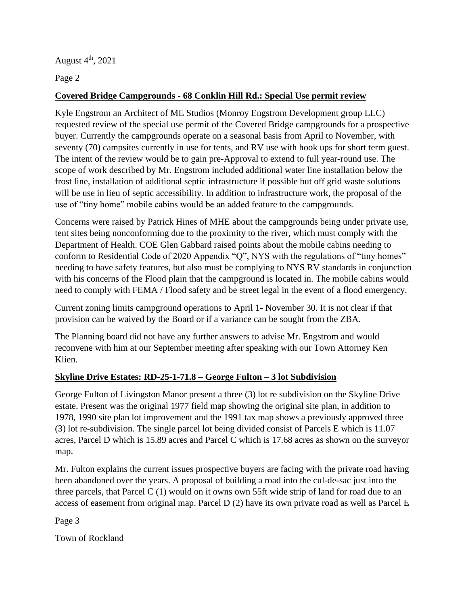August  $4<sup>th</sup>$ , 2021

Page 2

# **Covered Bridge Campgrounds - 68 Conklin Hill Rd.: Special Use permit review**

Kyle Engstrom an Architect of ME Studios (Monroy Engstrom Development group LLC) requested review of the special use permit of the Covered Bridge campgrounds for a prospective buyer. Currently the campgrounds operate on a seasonal basis from April to November, with seventy (70) campsites currently in use for tents, and RV use with hook ups for short term guest. The intent of the review would be to gain pre-Approval to extend to full year-round use. The scope of work described by Mr. Engstrom included additional water line installation below the frost line, installation of additional septic infrastructure if possible but off grid waste solutions will be use in lieu of septic accessibility. In addition to infrastructure work, the proposal of the use of "tiny home" mobile cabins would be an added feature to the campgrounds.

Concerns were raised by Patrick Hines of MHE about the campgrounds being under private use, tent sites being nonconforming due to the proximity to the river, which must comply with the Department of Health. COE Glen Gabbard raised points about the mobile cabins needing to conform to Residential Code of 2020 Appendix "Q", NYS with the regulations of "tiny homes" needing to have safety features, but also must be complying to NYS RV standards in conjunction with his concerns of the Flood plain that the campground is located in. The mobile cabins would need to comply with FEMA / Flood safety and be street legal in the event of a flood emergency.

Current zoning limits campground operations to April 1- November 30. It is not clear if that provision can be waived by the Board or if a variance can be sought from the ZBA.

The Planning board did not have any further answers to advise Mr. Engstrom and would reconvene with him at our September meeting after speaking with our Town Attorney Ken Klien.

## **Skyline Drive Estates: RD-25-1-71.8 – George Fulton – 3 lot Subdivision**

George Fulton of Livingston Manor present a three (3) lot re subdivision on the Skyline Drive estate. Present was the original 1977 field map showing the original site plan, in addition to 1978, 1990 site plan lot improvement and the 1991 tax map shows a previously approved three (3) lot re-subdivision. The single parcel lot being divided consist of Parcels E which is 11.07 acres, Parcel D which is 15.89 acres and Parcel C which is 17.68 acres as shown on the surveyor map.

Mr. Fulton explains the current issues prospective buyers are facing with the private road having been abandoned over the years. A proposal of building a road into the cul-de-sac just into the three parcels, that Parcel C (1) would on it owns own 55ft wide strip of land for road due to an access of easement from original map. Parcel D (2) have its own private road as well as Parcel E

Page 3

Town of Rockland